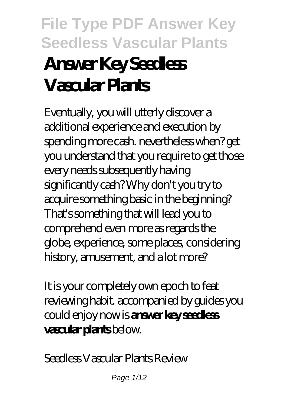# **File Type PDF Answer Key Seedless Vascular Plants Answer Key Seedless Vascular Plants**

Eventually, you will utterly discover a additional experience and execution by spending more cash. nevertheless when? get you understand that you require to get those every needs subsequently having significantly cash? Why don't you try to acquire something basic in the beginning? That's something that will lead you to comprehend even more as regards the globe, experience, some places, considering history, amusement, and a lot more?

It is your completely own epoch to feat reviewing habit. accompanied by guides you could enjoy now is **answer key seedless vascular plants** below.

*Seedless Vascular Plants Review*

Page 1/12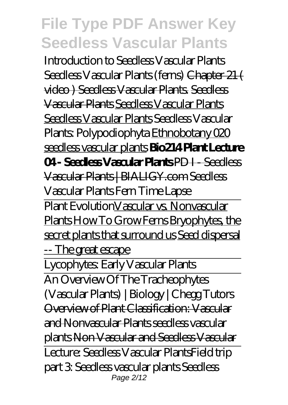*Introduction to Seedless Vascular Plants* Seedless Vascular Plants (ferns) Chapter 21 ( video ) Seedless Vascular Plants. Seedless Vascular Plants Seedless Vascular Plants Seedless Vascular Plants *Seedless Vascular Plants: Polypodiophyta* Ethnobotany 020 seedless vascular plants **Bio214 Plant Lecture 04 - Seedless Vascular Plants** PD I - Seedless Vascular Plants | BIALIGY.com *Seedless Vascular Plants Fern Time Lapse*

Plant EvolutionVascular vs. Nonvascular Plants How To Grow Ferns Bryophytes, the secret plants that surround us Seed dispersal -- The great escape

Lycophytes: Early Vascular Plants

An Overview Of The Tracheophytes (Vascular Plants) | Biology | Chegg Tutors Overview of Plant Classification: Vascular and Nonvascular Plants seedless vascular plants Non Vascular and Seedless Vascular Lecture: Seedless Vascular Plants*Field trip part 3: Seedless vascular plants Seedless* Page 2/12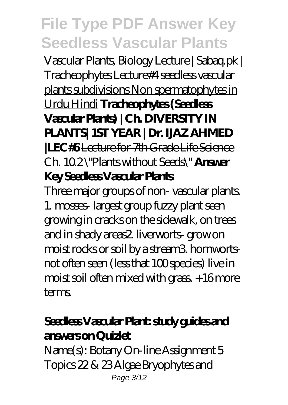*Vascular Plants, Biology Lecture | Sabaq.pk |* Tracheophytes Lecture#4 seedless vascular plants subdivisions Non spermatophytes in Urdu Hindi **Tracheophytes (Seedless Vascular Plants) | Ch. DIVERSITY IN PLANTS| 1ST YEAR | Dr. IJAZ AHMED |LEC#6** Lecture for 7th Grade Life Science Ch. 10.2 \"Plants without Seeds\" **Answer Key Seedless Vascular Plants**

Three major groups of non- vascular plants. 1. mosses- largest group fuzzy plant seen growing in cracks on the sidewalk, on trees and in shady areas2. liverworts- grow on moist rocks or soil by a stream3. hornwortsnot often seen (less that 100 species) live in  $moist soil often mixed with grass +16 more$ terms.

## **Seedless Vascular Plant: study guides and answers on Quizlet**

Name(s): Botany On-line Assignment 5 Topics 22 & 23 Algae Bryophytes and Page 3/12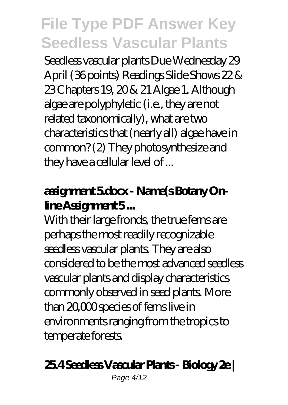Seedless vascular plants Due Wednesday 29 April (36 points) Readings Slide Shows 22 & 23 Chapters 19, 20 & 21 Algae 1. Although algae are polyphyletic (i.e., they are not related taxonomically), what are two characteristics that (nearly all) algae have in common? (2) They photosynthesize and they have a cellular level of ...

## **assignment 5.docx - Name(s Botany Online Assignment 5 ...**

With their large fronds, the true ferns are perhaps the most readily recognizable seedless vascular plants. They are also considered to be the most advanced seedless vascular plants and display characteristics commonly observed in seed plants. More than 20,000 species of ferns live in environments ranging from the tropics to temperate forests.

#### **25.4 Seedless Vascular Plants - Biology 2e |**

Page 4/12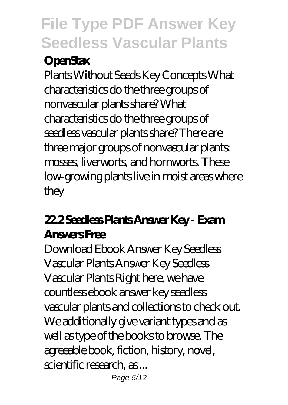## **OpenStax**

Plants Without Seeds Key Concepts What characteristics do the three groups of nonvascular plants share? What characteristics do the three groups of seedless vascular plants share? There are three major groups of nonvascular plants: mosses, liverworts, and hornworts. These low-growing plants live in moist areas where they

## **22.2 Seedless Plants Answer Key - Exam Answers Free**

Download Ebook Answer Key Seedless Vascular Plants Answer Key Seedless Vascular Plants Right here, we have countless ebook answer key seedless vascular plants and collections to check out. We additionally give variant types and as well as type of the books to browse. The agreeable book, fiction, history, novel, scientific research, as ...

Page 5/12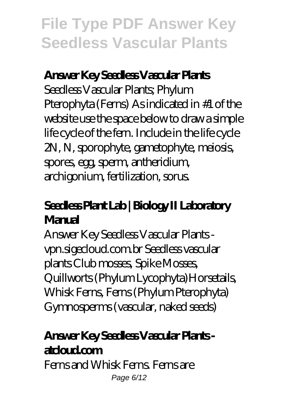### **Answer Key Seedless Vascular Plants**

Seedless Vascular Plants; Phylum Pterophyta (Ferns) As indicated in #1 of the website use the space below to draw a simple life cycle of the fern. Include in the life cycle 2N, N, sporophyte, gametophyte, meiosis, spores, egg, sperm, antheridium, archigonium, fertilization, sorus.

## **Seedless Plant Lab | Biology II Laboratory Manual**

Answer Key Seedless Vascular Plants vpn.sigecloud.com.br Seedless vascular plants Club mosses, Spike Mosses, Quillworts (Phylum Lycophyta)Horsetails, Whisk Ferns, Ferns (Phylum Pterophyta) Gymnosperms (vascular, naked seeds)

## **Answer Key Seedless Vascular Plants atcloud.com**

Ferns and Whisk Ferns. Ferns are Page 6/12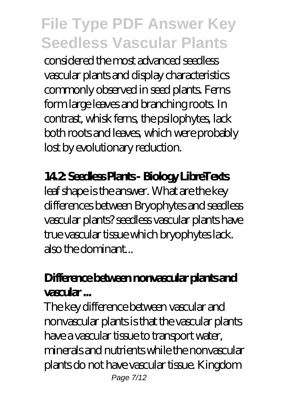considered the most advanced seedless vascular plants and display characteristics commonly observed in seed plants. Ferns form large leaves and branching roots. In contrast, whisk ferns, the psilophytes, lack both roots and leaves, which were probably lost by evolutionary reduction.

### **14.2: Seedless Plants - Biology LibreTexts**

leaf shape is the answer. What are the key differences between Bryophytes and seedless vascular plants? seedless vascular plants have true vascular tissue which bryophytes lack. also the dominant...

## **Difference between nonvascular plants and vascular ...**

The key difference between vascular and nonvascular plants is that the vascular plants have a vascular tissue to transport water, minerals and nutrients while the nonvascular plants do not have vascular tissue. Kingdom Page 7/12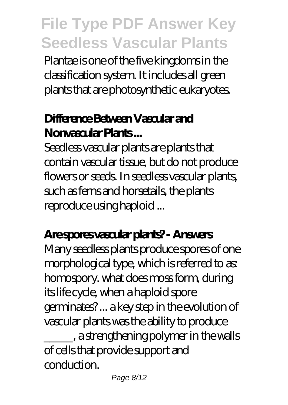Plantae is one of the five kingdoms in the classification system. It includes all green plants that are photosynthetic eukaryotes.

## **Difference Between Vascular and Nonvascular Plants ...**

Seedless vascular plants are plants that contain vascular tissue, but do not produce flowers or seeds. In seedless vascular plants, such as ferns and horsetails, the plants reproduce using haploid ...

### **Are spores vascular plants? - Answers**

Many seedless plants produce spores of one morphological type, which is referred to as: homospory. what does moss form, during its life cycle, when a haploid spore germinates? ... a key step in the evolution of vascular plants was the ability to produce \_\_\_\_\_, a strengthening polymer in the walls of cells that provide support and conduction.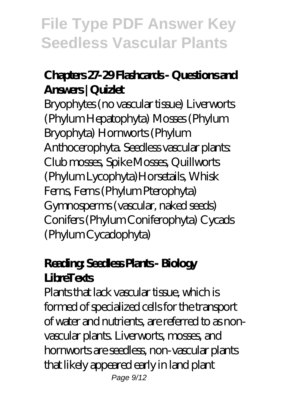## **Chapters 27-29 Flashcards - Questions and Answers | Quizlet**

Bryophytes (no vascular tissue) Liverworts (Phylum Hepatophyta) Mosses (Phylum Bryophyta) Hornworts (Phylum Anthocerophyta. Seedless vascular plants: Club mosses, Spike Mosses, Quillworts (Phylum Lycophyta)Horsetails, Whisk Ferns, Ferns (Phylum Pterophyta) Gymnosperms (vascular, naked seeds) Conifers (Phylum Coniferophyta) Cycads (Phylum Cycadophyta)

## **Reading: Seedless Plants - Biology LibreTexts**

Plants that lack vascular tissue, which is formed of specialized cells for the transport of water and nutrients, are referred to as nonvascular plants. Liverworts, mosses, and hornworts are seedless, non-vascular plants that likely appeared early in land plant Page  $9/12$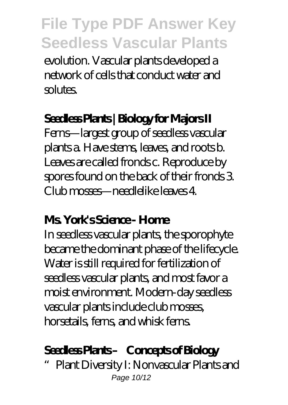evolution. Vascular plants developed a network of cells that conduct water and solutes.

### **Seedless Plants | Biology for Majors II**

Ferns—largest group of seedless vascular plants a. Have stems, leaves, and roots b. Leaves are called fronds c. Reproduce by spores found on the back of their fronds 3. Club mosses—needlelike leaves 4.

#### **Ms. York's Science - Home**

In seedless vascular plants, the sporophyte became the dominant phase of the lifecycle. Water is still required for fertilization of seedless vascular plants, and most favor a moist environment. Modern-day seedless vascular plants include club mosses, horsetails, ferns, and whisk ferns.

### **Seedless Plants – Concepts of Biology**

Plant Diversity I: Nonvascular Plants and Page 10/12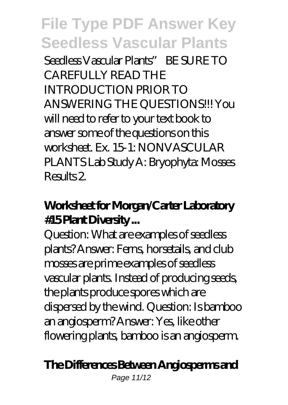Seedless Vascular Plants" BE SURE TO CAREFULLY READ THE INTRODUCTION PRIOR TO ANSWERING THE QUESTIONS!!! You will need to refer to your text book to answer some of the questions on this worksheet. Ex. 15-1: NONVASCULAR PLANTS Lab Study A: Bryophyta: Mosses Results 2.

## **Worksheet for Morgan/Carter Laboratory #15 Plant Diversity ...**

Question: What are examples of seedless plants? Answer: Ferns, horsetails, and club mosses are prime examples of seedless vascular plants. Instead of producing seeds, the plants produce spores which are dispersed by the wind. Question: Is bamboo an angiosperm? Answer: Yes, like other flowering plants, bamboo is an angiosperm.

### **The Differences Between Angiosperms and**

Page 11/12